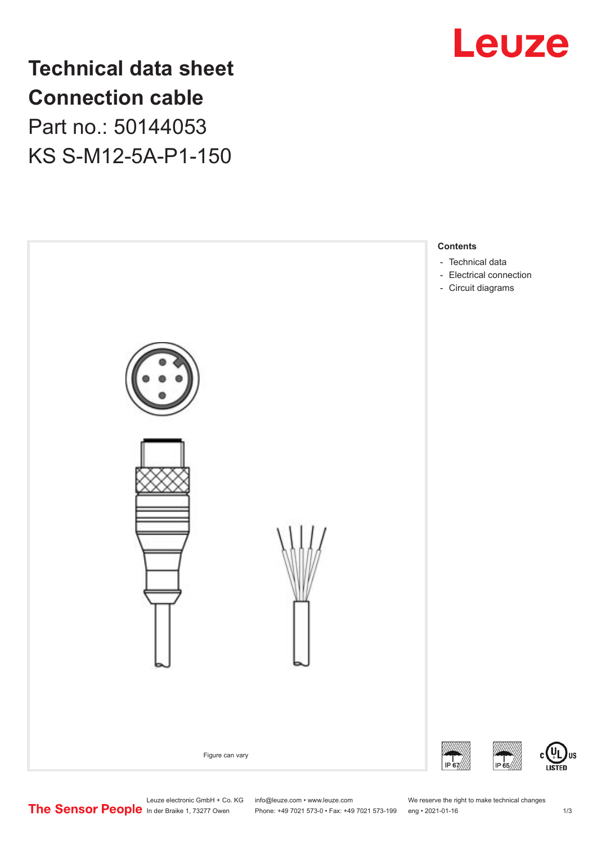

**Technical data sheet Connection cable** Part no.: 50144053

KS S-M12-5A-P1-150



US

Leuze electronic GmbH + Co. KG info@leuze.com • www.leuze.com We reserve the right to make technical changes<br>
The Sensor People in der Braike 1, 73277 Owen Phone: +49 7021 573-0 • Fax: +49 7021 573-199 eng • 2021-01-16

Phone: +49 7021 573-0 • Fax: +49 7021 573-199 eng • 2021-01-16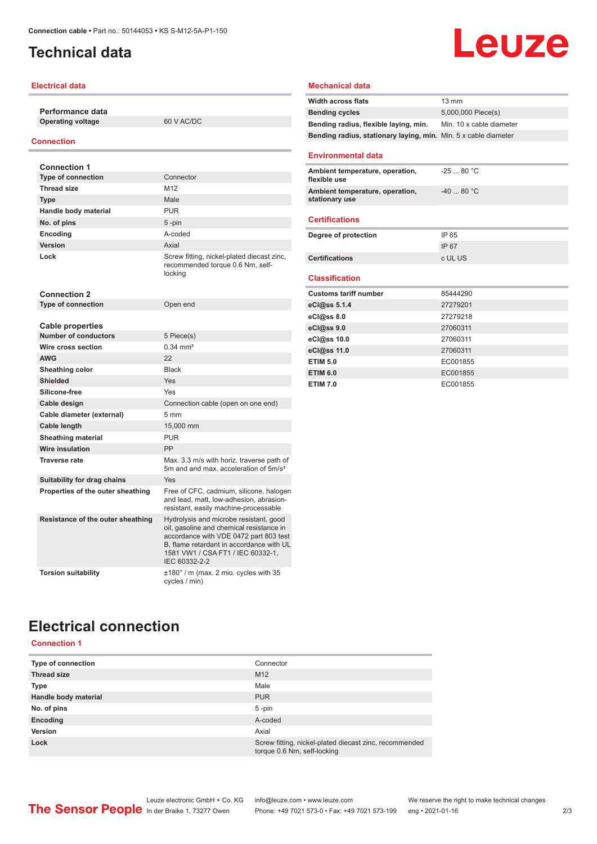# <span id="page-1-0"></span>**Technical data**

### **Electrical data**

**Performance data Operating voltage** 60 V AC/DC

#### **Connection**

| <b>Connection 1</b>               |                                                                                                                                                                                                                                |
|-----------------------------------|--------------------------------------------------------------------------------------------------------------------------------------------------------------------------------------------------------------------------------|
| <b>Type of connection</b>         | Connector                                                                                                                                                                                                                      |
| <b>Thread size</b>                | M <sub>12</sub>                                                                                                                                                                                                                |
| <b>Type</b>                       | Male                                                                                                                                                                                                                           |
| Handle body material              | <b>PUR</b>                                                                                                                                                                                                                     |
| No. of pins                       | $5 - pin$                                                                                                                                                                                                                      |
| Encoding                          | A-coded                                                                                                                                                                                                                        |
| <b>Version</b>                    | Axial                                                                                                                                                                                                                          |
| Lock                              | Screw fitting, nickel-plated diecast zinc,<br>recommended torque 0.6 Nm, self-<br>locking                                                                                                                                      |
| <b>Connection 2</b>               |                                                                                                                                                                                                                                |
| <b>Type of connection</b>         | Open end                                                                                                                                                                                                                       |
|                                   |                                                                                                                                                                                                                                |
| Cable properties                  |                                                                                                                                                                                                                                |
| <b>Number of conductors</b>       | 5 Piece(s)                                                                                                                                                                                                                     |
| Wire cross section                | $0.34 \, \text{mm}^2$                                                                                                                                                                                                          |
| <b>AWG</b>                        | 22                                                                                                                                                                                                                             |
| Sheathing color                   | <b>Black</b>                                                                                                                                                                                                                   |
| <b>Shielded</b>                   | Yes                                                                                                                                                                                                                            |
| Silicone-free                     | Yes                                                                                                                                                                                                                            |
| Cable design                      | Connection cable (open on one end)                                                                                                                                                                                             |
| Cable diameter (external)         | 5 <sub>mm</sub>                                                                                                                                                                                                                |
| Cable length                      | 15,000 mm                                                                                                                                                                                                                      |
| <b>Sheathing material</b>         | <b>PUR</b>                                                                                                                                                                                                                     |
| <b>Wire insulation</b>            | PP                                                                                                                                                                                                                             |
| <b>Traverse rate</b>              | Max. 3.3 m/s with horiz. traverse path of<br>5m and and max, acceleration of 5m/s <sup>2</sup>                                                                                                                                 |
| Suitability for drag chains       | Yes                                                                                                                                                                                                                            |
| Properties of the outer sheathing | Free of CFC, cadmium, silicone, halogen<br>and lead, matt, low-adhesion, abrasion-<br>resistant, easily machine-processable                                                                                                    |
| Resistance of the outer sheathing | Hydrolysis and microbe resistant, good<br>oil, gasoline and chemical resistance in<br>accordance with VDE 0472 part 803 test<br>B. flame retardant in accordance with UL<br>1581 VW1 / CSA FT1 / IEC 60332-1,<br>IEC 60332-2-2 |
| <b>Torsion suitability</b>        | $\pm 180^\circ$ / m (max. 2 mio. cycles with 35<br>cycles / min)                                                                                                                                                               |

#### **Mechanical data**

| <b>Width across flats</b>                                       | 13 mm                    |
|-----------------------------------------------------------------|--------------------------|
| <b>Bending cycles</b>                                           | 5,000,000 Piece(s)       |
| Bending radius, flexible laying, min.                           | Min. 10 x cable diameter |
| Bending radius, stationary laying, min. Min. 5 x cable diameter |                          |
|                                                                 |                          |
| <b>Environmental data</b>                                       |                          |
| Ambient temperature, operation,<br>flexible use                 | $-2580 °C$               |
| Ambient temperature, operation,<br>stationary use               | $-40.80 °C$              |
| <b>Certifications</b>                                           |                          |
| Degree of protection                                            | IP 65                    |
|                                                                 | IP 67                    |
| <b>Certifications</b>                                           | c UL US                  |
| <b>Classification</b>                                           |                          |
| <b>Customs tariff number</b>                                    | 85444290                 |
| eCl@ss 5.1.4                                                    | 27279201                 |
| eCl@ss 8.0                                                      | 27279218                 |
| eCl@ss 9.0                                                      | 27060311                 |
| eCl@ss 10.0                                                     | 27060311                 |
| eCl@ss 11.0                                                     | 27060311                 |
| <b>ETIM 5.0</b>                                                 | EC001855                 |
| <b>ETIM 6.0</b>                                                 | EC001855                 |
| <b>ETIM 7.0</b>                                                 | EC001855                 |

**Leuze** 

# **Electrical connection**

### **Connection 1**

| Type of connection   | Connector                                                                             |
|----------------------|---------------------------------------------------------------------------------------|
| <b>Thread size</b>   | M <sub>12</sub>                                                                       |
| <b>Type</b>          | Male                                                                                  |
| Handle body material | <b>PUR</b>                                                                            |
| No. of pins          | $5 - pin$                                                                             |
| Encoding             | A-coded                                                                               |
| Version              | Axial                                                                                 |
| Lock                 | Screw fitting, nickel-plated diecast zinc, recommended<br>torque 0.6 Nm, self-locking |